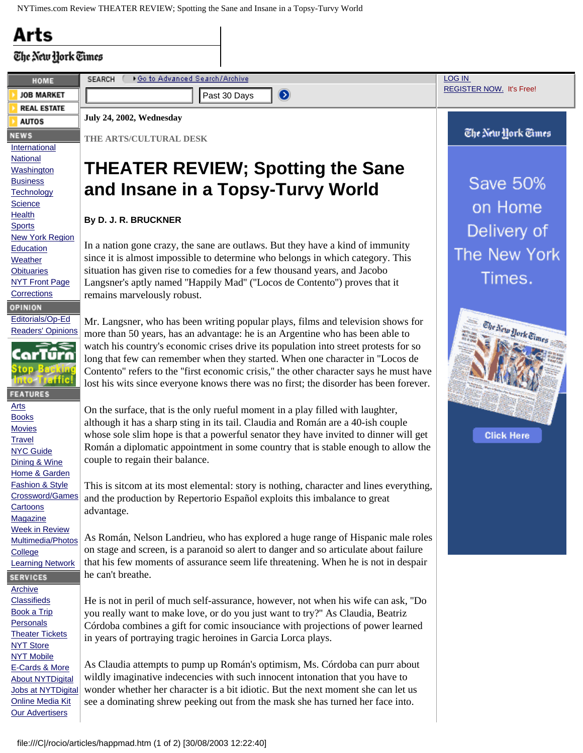## **Arts**

## The New York Times

| HOME                                              | <b>SEARCH</b><br>▶ Go to Advanced Search/Archive                                                                                                                                | <b>LOG IN</b>                   |
|---------------------------------------------------|---------------------------------------------------------------------------------------------------------------------------------------------------------------------------------|---------------------------------|
| <b>JOB MARKET</b>                                 | $\bullet$<br>Past 30 Days                                                                                                                                                       | <b>REGISTER NOW.</b> It's Free! |
| <b>REAL ESTATE</b>                                |                                                                                                                                                                                 |                                 |
| <b>AUTOS</b>                                      | July 24, 2002, Wednesday                                                                                                                                                        |                                 |
| <b>NEWS</b>                                       | THE ARTS/CULTURAL DESK                                                                                                                                                          | The New York Times              |
| International<br><b>National</b>                  |                                                                                                                                                                                 |                                 |
| Washington                                        | <b>THEATER REVIEW; Spotting the Sane</b>                                                                                                                                        |                                 |
| <b>Business</b>                                   | and Insane in a Topsy-Turvy World                                                                                                                                               | <b>Save 50%</b>                 |
| Technology<br><b>Science</b>                      |                                                                                                                                                                                 |                                 |
| <b>Health</b>                                     | By D. J. R. BRUCKNER                                                                                                                                                            | on Home                         |
| <b>Sports</b>                                     |                                                                                                                                                                                 | Delivery of                     |
| <b>New York Region</b><br>Education               | In a nation gone crazy, the sane are outlaws. But they have a kind of immunity                                                                                                  |                                 |
| Weather                                           | since it is almost impossible to determine who belongs in which category. This                                                                                                  | The New York                    |
| <b>Obituaries</b>                                 | situation has given rise to comedies for a few thousand years, and Jacobo                                                                                                       | Times.                          |
| <b>NYT Front Page</b><br>Corrections              | Langsner's aptly named "Happily Mad" ("Locos de Contento") proves that it<br>remains marvelously robust.                                                                        |                                 |
| OPINION                                           |                                                                                                                                                                                 |                                 |
| Editorials/Op-Ed                                  | Mr. Langsner, who has been writing popular plays, films and television shows for                                                                                                |                                 |
| <b>Readers' Opinions</b>                          | more than 50 years, has an advantage: he is an Argentine who has been able to                                                                                                   | The New York Times              |
|                                                   | watch his country's economic crises drive its population into street protests for so                                                                                            |                                 |
|                                                   | long that few can remember when they started. When one character in "Locos de                                                                                                   |                                 |
| nto Irafik                                        | Contento" refers to the "first economic crisis," the other character says he must have<br>lost his wits since everyone knows there was no first; the disorder has been forever. |                                 |
| <b>FEATURES</b>                                   |                                                                                                                                                                                 |                                 |
| Arts                                              | On the surface, that is the only rueful moment in a play filled with laughter,                                                                                                  |                                 |
| <b>Books</b><br><b>Movies</b>                     | although it has a sharp sting in its tail. Claudia and Román are a 40-ish couple                                                                                                |                                 |
| <b>Travel</b>                                     | whose sole slim hope is that a powerful senator they have invited to dinner will get                                                                                            | <b>Click Here</b>               |
| <b>NYC Guide</b>                                  | Román a diplomatic appointment in some country that is stable enough to allow the                                                                                               |                                 |
| Dining & Wine<br>Home & Garden                    | couple to regain their balance.                                                                                                                                                 |                                 |
| <b>Fashion &amp; Style</b>                        | This is sitcom at its most elemental: story is nothing, character and lines everything,                                                                                         |                                 |
| Crossword/Games                                   | and the production by Repertorio Español exploits this imbalance to great                                                                                                       |                                 |
| Cartoons<br>Magazine                              | advantage.                                                                                                                                                                      |                                 |
| <b>Week in Review</b>                             |                                                                                                                                                                                 |                                 |
| Multimedia/Photos                                 | As Román, Nelson Landrieu, who has explored a huge range of Hispanic male roles<br>on stage and screen, is a paranoid so alert to danger and so articulate about failure        |                                 |
| College<br><b>Learning Network</b>                | that his few moments of assurance seem life threatening. When he is not in despair                                                                                              |                                 |
| <b>SERVICES</b>                                   | he can't breathe.                                                                                                                                                               |                                 |
| <b>Archive</b>                                    |                                                                                                                                                                                 |                                 |
| <b>Classifieds</b>                                | He is not in peril of much self-assurance, however, not when his wife can ask, "Do                                                                                              |                                 |
| <b>Book a Trip</b><br>Personals                   | you really want to make love, or do you just want to try?" As Claudia, Beatriz<br>Córdoba combines a gift for comic insouciance with projections of power learned               |                                 |
| <b>Theater Tickets</b>                            | in years of portraying tragic heroines in Garcia Lorca plays.                                                                                                                   |                                 |
| <b>NYT Store</b>                                  |                                                                                                                                                                                 |                                 |
| <b>NYT Mobile</b><br>E-Cards & More               | As Claudia attempts to pump up Román's optimism, Ms. Córdoba can purr about                                                                                                     |                                 |
| <b>About NYTDigital</b>                           | wildly imaginative indecencies with such innocent intonation that you have to                                                                                                   |                                 |
| Jobs at NYTDigital                                | wonder whether her character is a bit idiotic. But the next moment she can let us                                                                                               |                                 |
| <b>Online Media Kit</b><br><b>Our Advertisers</b> | see a dominating shrew peeking out from the mask she has turned her face into.                                                                                                  |                                 |
|                                                   |                                                                                                                                                                                 |                                 |
|                                                   |                                                                                                                                                                                 |                                 |